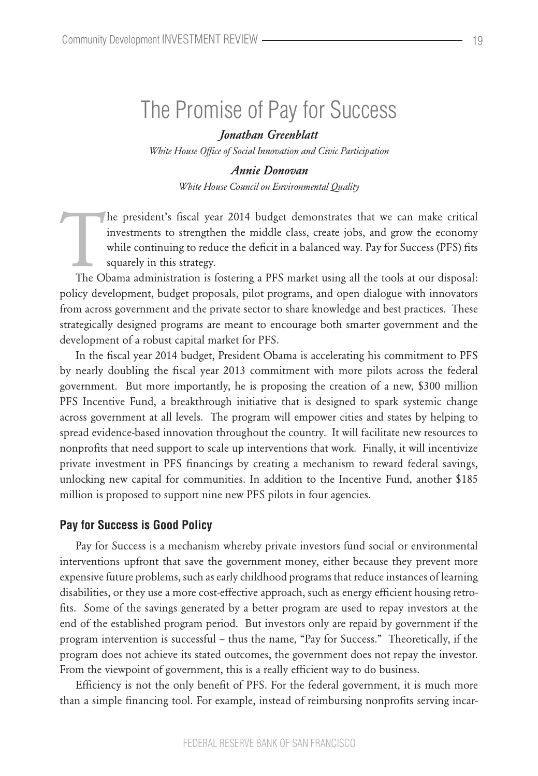# The Promise of Pay for Success

*Jonathan Greenblatt White House Office of Social Innovation and Civic Participation*

> *Annie Donovan White House Council on Environmental Quality*

The president's fiscal year 2014 budget demonstrates that we can make critical investments to strengthen the middle class, create jobs, and grow the economy while continuing to reduce the deficit in a balanced way. Pay for investments to strengthen the middle class, create jobs, and grow the economy while continuing to reduce the deficit in a balanced way. Pay for Success (PFS) fits squarely in this strategy.

policy development, budget proposals, pilot programs, and open dialogue with innovators from across government and the private sector to share knowledge and best practices. These strategically designed programs are meant to encourage both smarter government and the development of a robust capital market for PFS.

In the fiscal year 2014 budget, President Obama is accelerating his commitment to PFS by nearly doubling the fiscal year 2013 commitment with more pilots across the federal government. But more importantly, he is proposing the creation of a new, \$300 million PFS Incentive Fund, a breakthrough initiative that is designed to spark systemic change across government at all levels. The program will empower cities and states by helping to spread evidence-based innovation throughout the country. It will facilitate new resources to nonprofits that need support to scale up interventions that work. Finally, it will incentivize private investment in PFS financings by creating a mechanism to reward federal savings, unlocking new capital for communities. In addition to the Incentive Fund, another \$185 million is proposed to support nine new PFS pilots in four agencies.

### **Pay for Success is Good Policy**

Pay for Success is a mechanism whereby private investors fund social or environmental interventions upfront that save the government money, either because they prevent more expensive future problems, such as early childhood programs that reduce instances of learning disabilities, or they use a more cost-effective approach, such as energy efficient housing retrofits. Some of the savings generated by a better program are used to repay investors at the end of the established program period. But investors only are repaid by government if the program intervention is successful – thus the name, "Pay for Success." Theoretically, if the program does not achieve its stated outcomes, the government does not repay the investor. From the viewpoint of government, this is a really efficient way to do business.

Efficiency is not the only benefit of PFS. For the federal government, it is much more than a simple financing tool. For example, instead of reimbursing nonprofits serving incar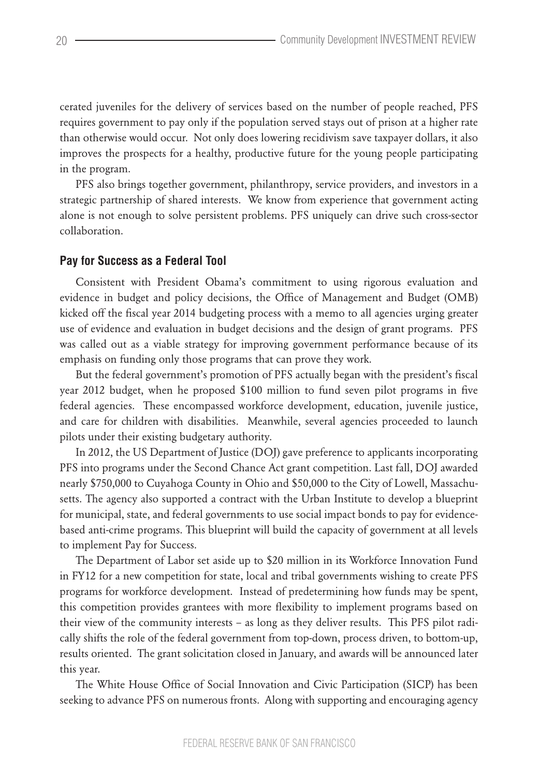cerated juveniles for the delivery of services based on the number of people reached, PFS requires government to pay only if the population served stays out of prison at a higher rate than otherwise would occur. Not only does lowering recidivism save taxpayer dollars, it also improves the prospects for a healthy, productive future for the young people participating in the program.

PFS also brings together government, philanthropy, service providers, and investors in a strategic partnership of shared interests. We know from experience that government acting alone is not enough to solve persistent problems. PFS uniquely can drive such cross-sector collaboration.

### **Pay for Success as a Federal Tool**

Consistent with President Obama's commitment to using rigorous evaluation and evidence in budget and policy decisions, the Office of Management and Budget (OMB) kicked off the fiscal year 2014 budgeting process with a memo to all agencies urging greater use of evidence and evaluation in budget decisions and the design of grant programs. PFS was called out as a viable strategy for improving government performance because of its emphasis on funding only those programs that can prove they work.

But the federal government's promotion of PFS actually began with the president's fiscal year 2012 budget, when he proposed \$100 million to fund seven pilot programs in five federal agencies. These encompassed workforce development, education, juvenile justice, and care for children with disabilities. Meanwhile, several agencies proceeded to launch pilots under their existing budgetary authority.

In 2012, the US Department of Justice (DOJ) gave preference to applicants incorporating PFS into programs under the Second Chance Act grant competition. Last fall, DOJ awarded nearly \$750,000 to Cuyahoga County in Ohio and \$50,000 to the City of Lowell, Massachusetts. The agency also supported a contract with the Urban Institute to develop a blueprint for municipal, state, and federal governments to use social impact bonds to pay for evidencebased anti-crime programs. This blueprint will build the capacity of government at all levels to implement Pay for Success.

The Department of Labor set aside up to \$20 million in its Workforce Innovation Fund in FY12 for a new competition for state, local and tribal governments wishing to create PFS programs for workforce development. Instead of predetermining how funds may be spent, this competition provides grantees with more flexibility to implement programs based on their view of the community interests – as long as they deliver results. This PFS pilot radically shifts the role of the federal government from top-down, process driven, to bottom-up, results oriented. The grant solicitation closed in January, and awards will be announced later this year.

The White House Office of Social Innovation and Civic Participation (SICP) has been seeking to advance PFS on numerous fronts. Along with supporting and encouraging agency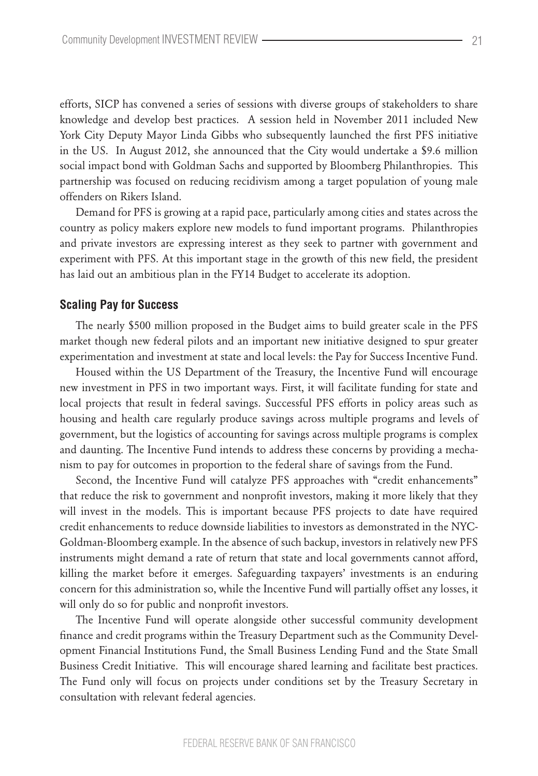efforts, SICP has convened a series of sessions with diverse groups of stakeholders to share knowledge and develop best practices. A session held in November 2011 included New York City Deputy Mayor Linda Gibbs who subsequently launched the first PFS initiative in the US. In August 2012, she announced that the City would undertake a \$9.6 million social impact bond with Goldman Sachs and supported by Bloomberg Philanthropies. This partnership was focused on reducing recidivism among a target population of young male offenders on Rikers Island.

Demand for PFS is growing at a rapid pace, particularly among cities and states across the country as policy makers explore new models to fund important programs. Philanthropies and private investors are expressing interest as they seek to partner with government and experiment with PFS. At this important stage in the growth of this new field, the president has laid out an ambitious plan in the FY14 Budget to accelerate its adoption.

#### **Scaling Pay for Success**

The nearly \$500 million proposed in the Budget aims to build greater scale in the PFS market though new federal pilots and an important new initiative designed to spur greater experimentation and investment at state and local levels: the Pay for Success Incentive Fund.

Housed within the US Department of the Treasury, the Incentive Fund will encourage new investment in PFS in two important ways. First, it will facilitate funding for state and local projects that result in federal savings. Successful PFS efforts in policy areas such as housing and health care regularly produce savings across multiple programs and levels of government, but the logistics of accounting for savings across multiple programs is complex and daunting. The Incentive Fund intends to address these concerns by providing a mechanism to pay for outcomes in proportion to the federal share of savings from the Fund.

Second, the Incentive Fund will catalyze PFS approaches with "credit enhancements" that reduce the risk to government and nonprofit investors, making it more likely that they will invest in the models. This is important because PFS projects to date have required credit enhancements to reduce downside liabilities to investors as demonstrated in the NYC-Goldman-Bloomberg example. In the absence of such backup, investors in relatively new PFS instruments might demand a rate of return that state and local governments cannot afford, killing the market before it emerges. Safeguarding taxpayers' investments is an enduring concern for this administration so, while the Incentive Fund will partially offset any losses, it will only do so for public and nonprofit investors.

The Incentive Fund will operate alongside other successful community development finance and credit programs within the Treasury Department such as the Community Development Financial Institutions Fund, the Small Business Lending Fund and the State Small Business Credit Initiative. This will encourage shared learning and facilitate best practices. The Fund only will focus on projects under conditions set by the Treasury Secretary in consultation with relevant federal agencies.